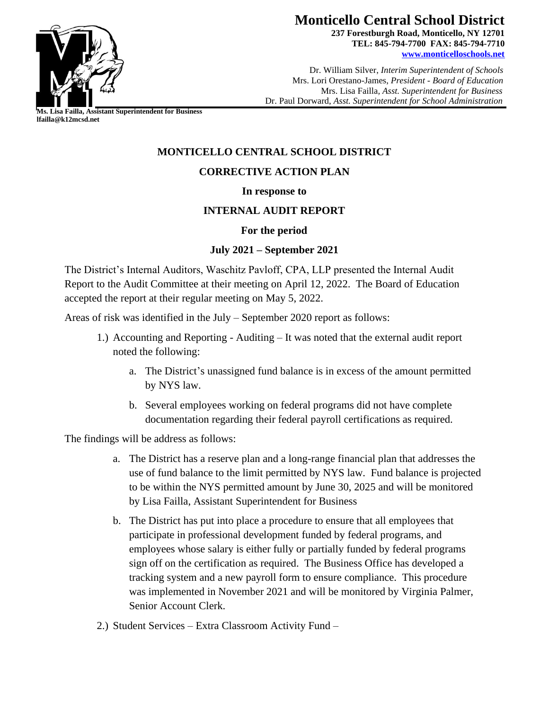

# **Monticello Central School District**

**237 Forestburgh Road, Monticello, NY 12701 TEL: 845-794-7700 FAX: 845-794-7710 [www.monticelloschools.net](http://www.monticelloschools.net/)**

 Dr. William Silver, *Interim Superintendent of Schools* Mrs. Lori Orestano-James, *President - Board of Education* Mrs. Lisa Failla*, Asst. Superintendent for Business* Dr. Paul Dorward, *Asst. Superintendent for School Administration*

**Ms. Lisa Failla, Assistant Superintendent for Business lfailla@k12mcsd.net**

# **MONTICELLO CENTRAL SCHOOL DISTRICT**

# **CORRECTIVE ACTION PLAN**

#### **In response to**

## **INTERNAL AUDIT REPORT**

## **For the period**

## **July 2021 – September 2021**

The District's Internal Auditors, Waschitz Pavloff, CPA, LLP presented the Internal Audit Report to the Audit Committee at their meeting on April 12, 2022. The Board of Education accepted the report at their regular meeting on May 5, 2022.

Areas of risk was identified in the July – September 2020 report as follows:

- 1.) Accounting and Reporting Auditing It was noted that the external audit report noted the following:
	- a. The District's unassigned fund balance is in excess of the amount permitted by NYS law.
	- b. Several employees working on federal programs did not have complete documentation regarding their federal payroll certifications as required.

The findings will be address as follows:

- a. The District has a reserve plan and a long-range financial plan that addresses the use of fund balance to the limit permitted by NYS law. Fund balance is projected to be within the NYS permitted amount by June 30, 2025 and will be monitored by Lisa Failla, Assistant Superintendent for Business
- b. The District has put into place a procedure to ensure that all employees that participate in professional development funded by federal programs, and employees whose salary is either fully or partially funded by federal programs sign off on the certification as required. The Business Office has developed a tracking system and a new payroll form to ensure compliance. This procedure was implemented in November 2021 and will be monitored by Virginia Palmer, Senior Account Clerk.
- 2.) Student Services Extra Classroom Activity Fund –